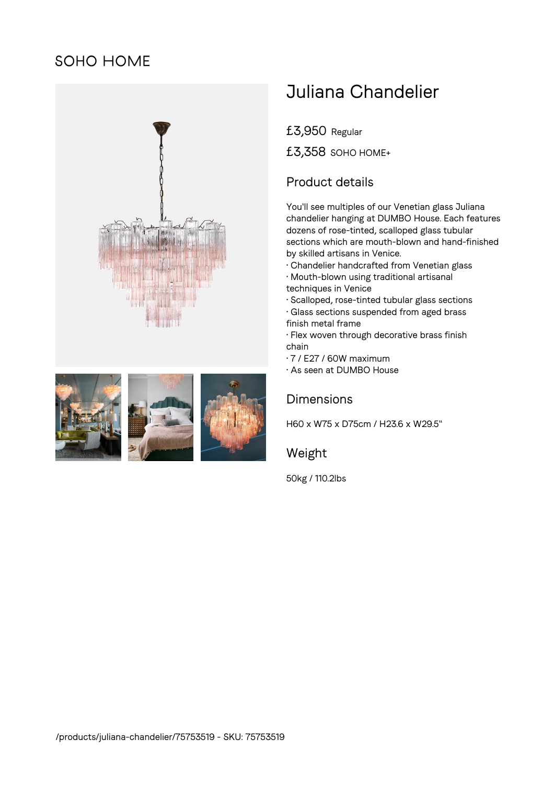# **SOHO HOME**





# Juliana Chandelier

£3,950 Regular

£3,358 SOHO HOME+

## Product details

You'll see multiples of our Venetian glass Juliana chandelier hanging at DUMBO House. Each features dozens of rose-tinted, scalloped glass tubular sections which are mouth-blown and hand-finished by skilled artisans in Venice.

- Chandelier handcrafted from Venetian glass
- Mouth-blown using traditional artisanal
- techniques in Venice
- Scalloped, rose-tinted tubular glass sections • Glass sections suspended from aged brass
- finish metal frame
- Flex woven through decorative brass finish chain
- 7 / E27 / 60W maximum
- As seen at DUMBO House

### **Dimensions**

H60 x W75 x D75cm / H23.6 x W29.5"

#### Weight

50kg / 110.2lbs